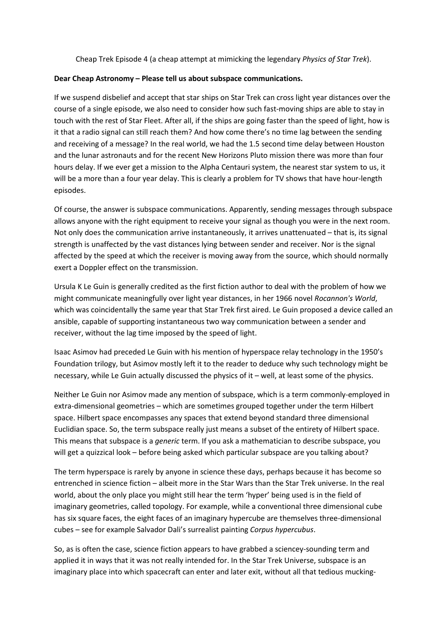Cheap Trek Episode 4 (a cheap attempt at mimicking the legendary *Physics of Star Trek*).

## **Dear Cheap Astronomy – Please tell us about subspace communications.**

If we suspend disbelief and accept that star ships on Star Trek can cross light year distances over the course of a single episode, we also need to consider how such fast-moving ships are able to stay in touch with the rest of Star Fleet. After all, if the ships are going faster than the speed of light, how is it that a radio signal can still reach them? And how come there's no time lag between the sending and receiving of a message? In the real world, we had the 1.5 second time delay between Houston and the lunar astronauts and for the recent New Horizons Pluto mission there was more than four hours delay. If we ever get a mission to the Alpha Centauri system, the nearest star system to us, it will be a more than a four year delay. This is clearly a problem for TV shows that have hour-length episodes.

Of course, the answer is subspace communications. Apparently, sending messages through subspace allows anyone with the right equipment to receive your signal as though you were in the next room. Not only does the communication arrive instantaneously, it arrives unattenuated – that is, its signal strength is unaffected by the vast distances lying between sender and receiver. Nor is the signal affected by the speed at which the receiver is moving away from the source, which should normally exert a Doppler effect on the transmission.

Ursula K Le Guin is generally credited as the first fiction author to deal with the problem of how we might communicate meaningfully over light year distances, in her 1966 novel *Rocannon's World*, which was coincidentally the same year that Star Trek first aired. Le Guin proposed a device called an ansible, capable of supporting instantaneous two way communication between a sender and receiver, without the lag time imposed by the speed of light.

Isaac Asimov had preceded Le Guin with his mention of hyperspace relay technology in the 1950's Foundation trilogy, but Asimov mostly left it to the reader to deduce why such technology might be necessary, while Le Guin actually discussed the physics of it – well, at least some of the physics.

Neither Le Guin nor Asimov made any mention of subspace, which is a term commonly-employed in extra-dimensional geometries – which are sometimes grouped together under the term Hilbert space. Hilbert space encompasses any spaces that extend beyond standard three dimensional Euclidian space. So, the term subspace really just means a subset of the entirety of Hilbert space. This means that subspace is a *generic* term. If you ask a mathematician to describe subspace, you will get a quizzical look – before being asked which particular subspace are you talking about?

The term hyperspace is rarely by anyone in science these days, perhaps because it has become so entrenched in science fiction – albeit more in the Star Wars than the Star Trek universe. In the real world, about the only place you might still hear the term 'hyper' being used is in the field of imaginary geometries, called topology. For example, while a conventional three dimensional cube has six square faces, the eight faces of an imaginary hypercube are themselves three-dimensional cubes – see for example Salvador Dali's surrealist painting *Corpus hypercubus*.

So, as is often the case, science fiction appears to have grabbed a sciencey-sounding term and applied it in ways that it was not really intended for. In the Star Trek Universe, subspace is an imaginary place into which spacecraft can enter and later exit, without all that tedious mucking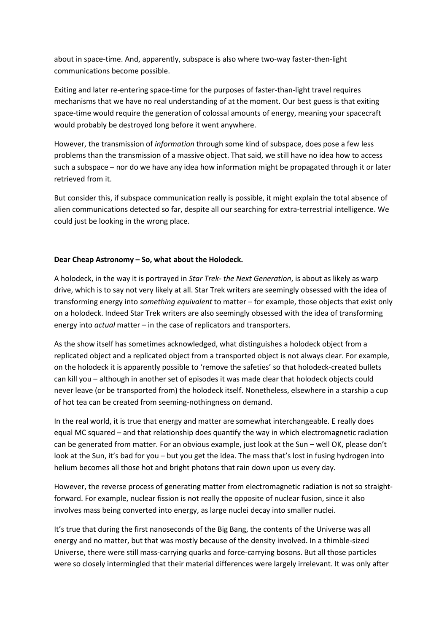about in space-time. And, apparently, subspace is also where two-way faster-then-light communications become possible.

Exiting and later re-entering space-time for the purposes of faster-than-light travel requires mechanisms that we have no real understanding of at the moment. Our best guess is that exiting space-time would require the generation of colossal amounts of energy, meaning your spacecraft would probably be destroyed long before it went anywhere.

However, the transmission of *information* through some kind of subspace, does pose a few less problems than the transmission of a massive object. That said, we still have no idea how to access such a subspace – nor do we have any idea how information might be propagated through it or later retrieved from it.

But consider this, if subspace communication really is possible, it might explain the total absence of alien communications detected so far, despite all our searching for extra-terrestrial intelligence. We could just be looking in the wrong place.

## **Dear Cheap Astronomy – So, what about the Holodeck.**

A holodeck, in the way it is portrayed in *Star Trek- the Next Generation*, is about as likely as warp drive, which is to say not very likely at all. Star Trek writers are seemingly obsessed with the idea of transforming energy into *something equivalent* to matter – for example, those objects that exist only on a holodeck. Indeed Star Trek writers are also seemingly obsessed with the idea of transforming energy into *actual* matter – in the case of replicators and transporters.

As the show itself has sometimes acknowledged, what distinguishes a holodeck object from a replicated object and a replicated object from a transported object is not always clear. For example, on the holodeck it is apparently possible to 'remove the safeties' so that holodeck-created bullets can kill you – although in another set of episodes it was made clear that holodeck objects could never leave (or be transported from) the holodeck itself. Nonetheless, elsewhere in a starship a cup of hot tea can be created from seeming-nothingness on demand.

In the real world, it is true that energy and matter are somewhat interchangeable. E really does equal MC squared – and that relationship does quantify the way in which electromagnetic radiation can be generated from matter. For an obvious example, just look at the Sun – well OK, please don't look at the Sun, it's bad for you – but you get the idea. The mass that's lost in fusing hydrogen into helium becomes all those hot and bright photons that rain down upon us every day.

However, the reverse process of generating matter from electromagnetic radiation is not so straightforward. For example, nuclear fission is not really the opposite of nuclear fusion, since it also involves mass being converted into energy, as large nuclei decay into smaller nuclei.

It's true that during the first nanoseconds of the Big Bang, the contents of the Universe was all energy and no matter, but that was mostly because of the density involved. In a thimble-sized Universe, there were still mass-carrying quarks and force-carrying bosons. But all those particles were so closely intermingled that their material differences were largely irrelevant. It was only after